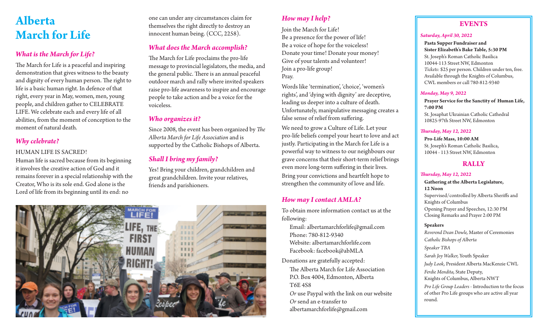# **Alberta March for Life**

# *What is the March for Life?*

The March for Life is a peaceful and inspiring demonstration that gives witness to the beauty and dignity of every human person. The right to life is a basic human right. In defence of that right, every year in May, women, men, young people, and children gather to CELEBRATE LIFE. We celebrate each and every life of all abilities, from the moment of conception to the moment of natural death.

# *Why celebrate?*

### HUMAN LIFE IS SACRED!

Human life is sacred because from its beginning it involves the creative action of God and it remains forever in a special relationship with the Creator, Who is its sole end. God alone is the Lord of life from its beginning until its end: no

one can under any circumstances claim for themselves the right directly to destroy an innocent human being. (CCC, 2258).

# *What does the March accomplish?*

The March for Life proclaims the pro-life message to provincial legislators, the media, and the general public. There is an annual peaceful outdoor march and rally where invited speakers raise pro-life awareness to inspire and encourage people to take action and be a voice for the voiceless.

## *Who organizes it?*

Since 2008, the event has been organized by *The Alberta March for Life Association* and is supported by the Catholic Bishops of Alberta.

# *Shall I bring my family?*

Yes! Bring your children, grandchildren and great grandchildren. Invite your relatives, friends and parishioners.



# *How may I help?*

Join the March for Life! Be a presence for the power of life! Be a voice of hope for the voiceless! Donate your time! Donate your money! Give of your talents and volunteer! Join a pro-life group! Pray.

Words like 'termination', 'choice', 'women's rights', and 'dying with dignity' are deceptive, leading us deeper into a culture of death. Unfortunately, manipulative messaging creates a false sense of relief from suffering.

We need to grow a Culture of Life. Let your pro-life beliefs compel your heart to love and act justly. Participating in the March for Life is a powerful way to witness to our neighbours our grave concerns that their short-term relief brings even more long-term suffering in their lives. Bring your convictions and heartfelt hope to strengthen the community of love and life.

## *How may I contact AMLA?*

To obtain more information contact us at the following:

- Email: albertamarchforlife@gmail.com Phone: 780-812-9340 Website: albertamarchforlife.com Facebook: facebook@abMLA
- Donations are gratefully accepted: The Alberta March for Life Association P.O. Box 4004, Edmonton, Alberta T6E 4S8

 *Or* use Paypal with the link on our website  *Or* send an e-transfer to albertamarchforlife@gmail.com

# **EVENTS**

#### *Saturday, April 30, 2022*

**Pasta Supper Fundraiser and Sister Elizabeth's Bake Table, 5:30 PM** St. Joseph's Roman Catholic Basilica 10044-113 Street NW, Edmonton *Tickets:* \$25 per person. Children under ten, free. Available through the Knights of Columbus, CWL members or call 780-812-9340

#### *Monday, May 9, 2022*

**Prayer Service for the Sanctity of Human Life, 7:00 PM** St. Josaphat Ukrainian Catholic Cathedral 10825-97th Street NW, Edmonton

#### *Thursday, May 12, 2022*

**Pro-Life Mass, 10:00 AM** St. Joseph's Roman Catholic Basilica, 10044 - 113 Street NW, Edmonton

## **RALLY**

#### *Thursday, May 12, 2022*

**Gathering at the Alberta Legislature, 12 Noon** Supervised/controlled by Alberta Sheriffs and Knights of Columbus Opening Prayer and Speeches, 12:30 PM Closing Remarks and Prayer 2:00 PM

#### **Speakers**

*Reverend Dean Dowle,* Master of Ceremonies *Catholic Bishops of Alberta Speaker TBA Sarah Joy Walker,* Youth Speaker *Judy Look,* President Alberta MacKenzie CWL *Ferdie Mendita,* State Deputy,

Knights of Columbus, Alberta-NWT

*Pro Life Group Leaders* - Introduction to the focus of other Pro Life groups who are active all year round.